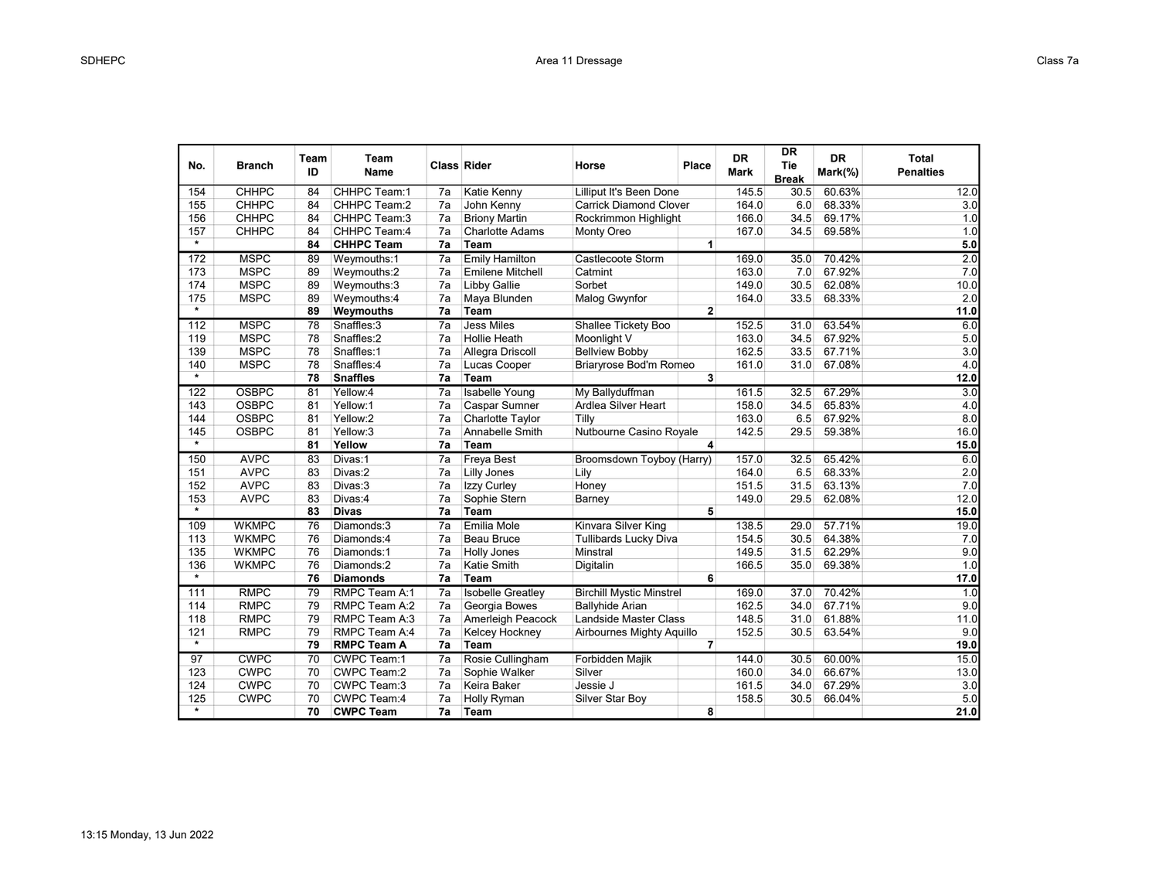| No.     | <b>Branch</b> | Team<br>ID | Team<br>Name       |                 | <b>Class Rider</b>       | Horse                           | Place          | <b>DR</b><br>Mark | DR<br>Tie<br><b>Break</b> | <b>DR</b><br>Mark(%) | <b>Total</b><br><b>Penalties</b> |
|---------|---------------|------------|--------------------|-----------------|--------------------------|---------------------------------|----------------|-------------------|---------------------------|----------------------|----------------------------------|
| 154     | <b>CHHPC</b>  | 84         | CHHPC Team:1       | 7a              | Katie Kenny              | Lilliput It's Been Done         |                | 145.5             | 30.5                      | 60.63%               | 12.0                             |
| 155     | <b>CHHPC</b>  | 84         | CHHPC Team:2       | 7a              | John Kenny               | <b>Carrick Diamond Clover</b>   |                | 164.0             | 6.0                       | 68.33%               | 3.0                              |
| 156     | <b>CHHPC</b>  | 84         | CHHPC Team:3       | 7a              | <b>Briony Martin</b>     | Rockrimmon Highlight            |                | 166.0             | 34.5                      | 69.17%               | 1.0                              |
| 157     | <b>CHHPC</b>  | 84         | CHHPC Team:4       | 7a              | <b>Charlotte Adams</b>   | Monty Oreo                      |                | 167.0             | 34.5                      | 69.58%               | 1.0                              |
| $\star$ |               | 84         | <b>CHHPC Team</b>  | 7a              | Team                     |                                 | 1              |                   |                           |                      | 5.0                              |
| 172     | <b>MSPC</b>   | 89         | Weymouths:1        | 7a              | <b>Emily Hamilton</b>    | Castlecoote Storm               |                | 169.0             | 35.0                      | 70.42%               | 2.0                              |
| 173     | <b>MSPC</b>   | 89         | Weymouths:2        | 7a              | <b>Emilene Mitchell</b>  | Catmint                         |                | 163.0             | 7.0                       | 67.92%               | 7.0                              |
| 174     | <b>MSPC</b>   | 89         | Weymouths:3        | 7a              | Libby Gallie             | Sorbet                          |                | 149.0             | 30.5                      | 62.08%               | 10.0                             |
| 175     | <b>MSPC</b>   | 89         | Weymouths:4        | 7a              | Maya Blunden             | Malog Gwynfor                   |                | 164.0             | 33.5                      | 68.33%               | 2.0                              |
| $\star$ |               | 89         | Weymouths          | 7a              | Team                     |                                 | $\overline{2}$ |                   |                           |                      | 11.0                             |
| 112     | <b>MSPC</b>   | 78         | Snaffles:3         | 7a              | <b>Jess Miles</b>        | Shallee Tickety Boo             |                | 152.5             | 31.0                      | 63.54%               | 6.0                              |
| 119     | <b>MSPC</b>   | 78         | Snaffles:2         | 7a              | Hollie Heath             | Moonlight V                     |                | 163.0             | 34.5                      | 67.92%               | 5.0                              |
| 139     | <b>MSPC</b>   | 78         | Snaffles:1         | 7a              | Allegra Driscoll         | <b>Bellview Bobby</b>           |                | 162.5             | 33.5                      | 67.71%               | 3.0                              |
| 140     | <b>MSPC</b>   | 78         | Snaffles:4         | 7a              | Lucas Cooper             | Briaryrose Bod'm Romeo          |                | 161.0             | 31.0                      | 67.08%               | 4.0                              |
| $\star$ |               | 78         | <b>Snaffles</b>    | 7a              | Team                     |                                 | 3              |                   |                           |                      | 12.0                             |
| 122     | <b>OSBPC</b>  | 81         | Yellow:4           | 7a              | <b>Isabelle Young</b>    | My Ballyduffman                 |                | 161.5             | 32.5                      | 67.29%               | 3.0                              |
| 143     | <b>OSBPC</b>  | 81         | Yellow:1           | 7a              | <b>Caspar Sumner</b>     | Ardlea Silver Heart             |                | 158.0             | 34.5                      | 65.83%               | 4.0                              |
| 144     | <b>OSBPC</b>  | 81         | Yellow:2           | 7a              | Charlotte Taylor         | Tilly                           |                | 163.0             | 6.5                       | 67.92%               | 8.0                              |
| 145     | <b>OSBPC</b>  | 81         | Yellow:3           | 7a              | Annabelle Smith          | Nutbourne Casino Royale         |                | 142.5             | 29.5                      | 59.38%               | 16.0                             |
| $\star$ |               | 81         | Yellow             | 7a              | Team                     |                                 | 4              |                   |                           |                      | 15.0                             |
| 150     | <b>AVPC</b>   | 83         | Divas:1            | $\overline{7a}$ | <b>Freya Best</b>        | Broomsdown Toyboy (Harry)       |                | 157.0             | 32.5                      | 65.42%               | 6.0                              |
| 151     | <b>AVPC</b>   | 83         | Divas:2            | 7a              | Lilly Jones              | Lily                            |                | 164.0             | 6.5                       | 68.33%               | 2.0                              |
| 152     | <b>AVPC</b>   | 83         | Divas:3            | 7a              | Izzy Curley              | Honey                           |                | 151.5             | 31.5                      | 63.13%               | 7.0                              |
| 153     | <b>AVPC</b>   | 83         | Divas:4            | 7a              | Sophie Stern             | Barney                          |                | 149.0             | 29.5                      | 62.08%               | 12.0                             |
| $\star$ |               | 83         | <b>Divas</b>       | 7a              | Team                     |                                 | 5              |                   |                           |                      | 15.0                             |
| 109     | <b>WKMPC</b>  | 76         | Diamonds:3         | $\overline{7a}$ | Emilia Mole              | Kinvara Silver King             |                | 138.5             | 29.0                      | 57.71%               | 19.0                             |
| 113     | <b>WKMPC</b>  | 76         | Diamonds:4         | 7a              | <b>Beau Bruce</b>        | <b>Tullibards Lucky Diva</b>    |                | 154.5             | 30.5                      | 64.38%               | 7.0                              |
| 135     | <b>WKMPC</b>  | 76         | Diamonds:1         | 7a              | <b>Holly Jones</b>       | Minstral                        |                | 149.5             | 31.5                      | 62.29%               | 9.0                              |
| 136     | <b>WKMPC</b>  | 76         | Diamonds:2         | 7a              | Katie Smith              | Digitalin                       |                | 166.5             | 35.0                      | 69.38%               | 1.0                              |
| $\star$ |               | 76         | <b>Diamonds</b>    | 7a              | Team                     |                                 | 6              |                   |                           |                      | 17.0                             |
| 111     | <b>RMPC</b>   | 79         | RMPC Team A:1      | 7a              | <b>Isobelle Greatley</b> | <b>Birchill Mystic Minstrel</b> |                | 169.0             | 37.0                      | 70.42%               | 1.0                              |
| 114     | <b>RMPC</b>   | 79         | RMPC Team A:2      | 7a              | Georgia Bowes            | <b>Ballyhide Arian</b>          |                | 162.5             | 34.0                      | 67.71%               | 9.0                              |
| 118     | <b>RMPC</b>   | 79         | RMPC Team A:3      | 7a              | Amerleigh Peacock        | Landside Master Class           |                | 148.5             | 31.0                      | 61.88%               | 11.0                             |
| 121     | <b>RMPC</b>   | 79         | RMPC Team A:4      | 7a              | Kelcey Hockney           | Airbournes Mighty Aquillo       |                | 152.5             | 30.5                      | 63.54%               | 9.0                              |
| $\star$ |               | 79         | <b>RMPC Team A</b> | 7a              | Team                     |                                 | $\overline{7}$ |                   |                           |                      | 19.0                             |
| 97      | <b>CWPC</b>   | 70         | <b>CWPC Team:1</b> | 7a              | Rosie Cullingham         | <b>Forbidden Majik</b>          |                | 144.0             | 30.5                      | 60.00%               | 15.0                             |
| 123     | <b>CWPC</b>   | 70         | CWPC Team:2        | 7a              | Sophie Walker            | Silver                          |                | 160.0             | 34.0                      | 66.67%               | 13.0                             |
| 124     | <b>CWPC</b>   | 70         | CWPC Team:3        | 7a              | Keira Baker              | Jessie J                        |                | 161.5             | 34.0                      | 67.29%               | 3.0                              |
| 125     | <b>CWPC</b>   | 70         | CWPC Team:4        | 7a              | Holly Ryman              | Silver Star Boy                 |                | 158.5             | 30.5                      | 66.04%               | 5.0                              |
| $\star$ |               | 70         | <b>CWPC Team</b>   | 7a              | Team                     |                                 | 8              |                   |                           |                      | 21.0                             |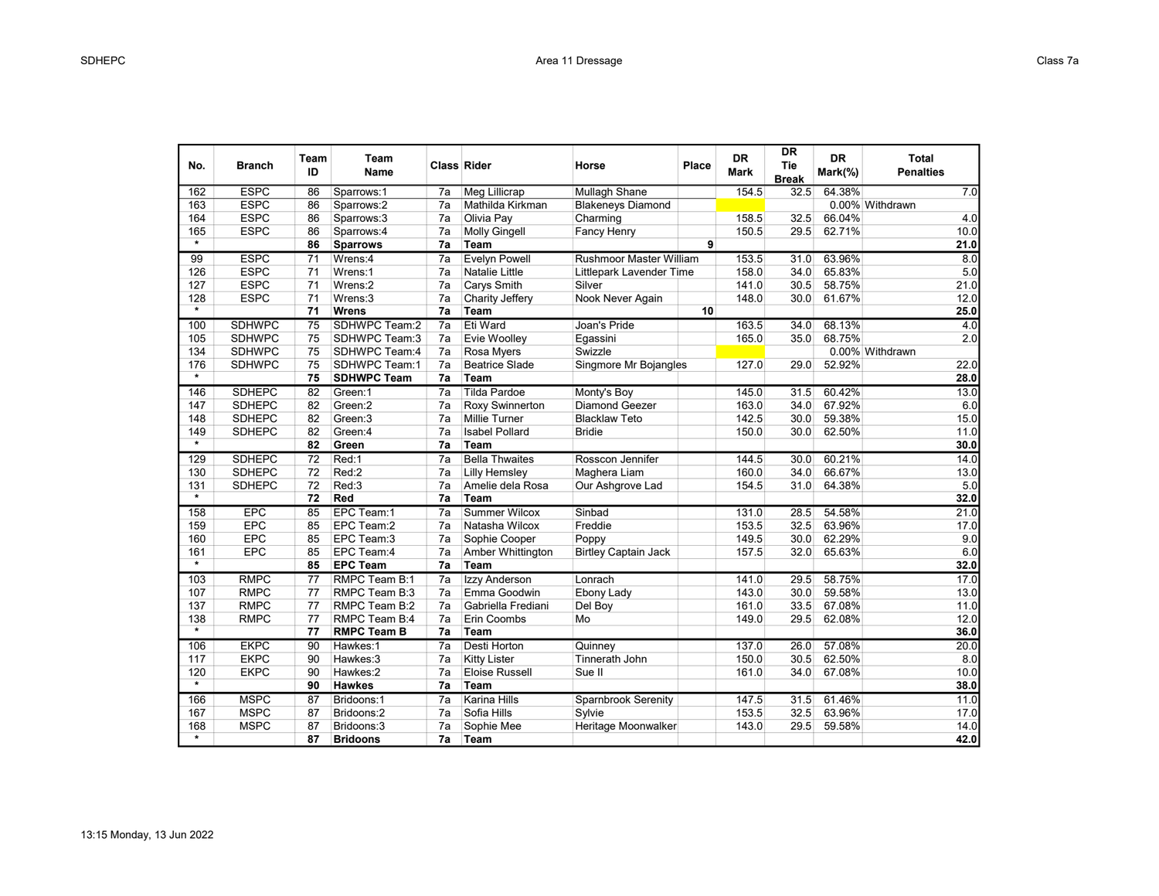| No.               | <b>Branch</b> | Team<br>ID      | Team<br>Name       | <b>Class Rider</b> |                       | Horse                       | Place | <b>DR</b><br><b>Mark</b> | <b>DR</b><br>Tie<br><b>Break</b> | <b>DR</b><br>Mark(%) | <b>Total</b><br><b>Penalties</b> |
|-------------------|---------------|-----------------|--------------------|--------------------|-----------------------|-----------------------------|-------|--------------------------|----------------------------------|----------------------|----------------------------------|
| 162               | <b>ESPC</b>   | 86              | Sparrows:1         | 7a                 | <b>Meg Lillicrap</b>  | <b>Mullagh Shane</b>        |       | 154.5                    | 32.5                             | 64.38%               | 7.0                              |
| 163               | <b>ESPC</b>   | 86              | Sparrows:2         | 7a                 | Mathilda Kirkman      | <b>Blakeneys Diamond</b>    |       |                          |                                  |                      | 0.00% Withdrawn                  |
| 164               | <b>ESPC</b>   | 86              | Sparrows:3         | 7a                 | Olivia Pay            | Charming                    |       | 158.5                    | 32.5                             | 66.04%               | 4.0                              |
| 165               | <b>ESPC</b>   | 86              | Sparrows:4         | 7a                 | <b>Molly Gingell</b>  | Fancy Henry                 |       | 150.5                    | 29.5                             | 62.71%               | 10.0                             |
| $\star$           |               | 86              | <b>Sparrows</b>    | 7a                 | Team                  |                             | 9     |                          |                                  |                      | 21.0                             |
| 99                | <b>ESPC</b>   | $\overline{71}$ | Wrens:4            | $\overline{7a}$    | <b>Evelyn Powell</b>  | Rushmoor Master William     |       | 153.5                    | 31.0                             | 63.96%               | 8.0                              |
| 126               | <b>ESPC</b>   | 71              | Wrens:1            | 7a                 | <b>Natalie Little</b> | Littlepark Lavender Time    |       | 158.0                    | 34.0                             | 65.83%               | 5.0                              |
| 127               | <b>ESPC</b>   | 71              | Wrens:2            | 7a                 | Carys Smith           | Silver                      |       | 141.0                    | 30.5                             | 58.75%               | 21.0                             |
| 128               | <b>ESPC</b>   | 71              | Wrens:3            | 7a                 | Charity Jeffery       | Nook Never Again            |       | 148.0                    | 30.0                             | 61.67%               | 12.0                             |
| $\star$           |               | 71              | <b>Wrens</b>       | 7a                 | Team                  |                             | 10    |                          |                                  |                      | 25.0                             |
| 100               | <b>SDHWPC</b> | $\overline{75}$ | SDHWPC Team:2      | $\overline{7a}$    | Eti Ward              | Joan's Pride                |       | 163.5                    | 34.0                             | 68.13%               | 4.0                              |
| 105               | <b>SDHWPC</b> | 75              | SDHWPC Team:3      | 7a                 | Evie Woolley          | Egassini                    |       | 165.0                    | 35.0                             | 68.75%               | 2.0                              |
| 134               | <b>SDHWPC</b> | 75              | SDHWPC Team:4      | 7a                 | Rosa Myers            | Swizzle                     |       |                          |                                  |                      | 0.00% Withdrawn                  |
| 176               | <b>SDHWPC</b> | 75              | SDHWPC Team:1      | 7a                 | <b>Beatrice Slade</b> | Singmore Mr Bojangles       |       | 127.0                    | 29.0                             | 52.92%               | 22.0                             |
| $\star$           |               | 75              | <b>SDHWPC Team</b> | 7a                 | Team                  |                             |       |                          |                                  |                      | 28.0                             |
| 146               | <b>SDHEPC</b> | 82              | Green:1            | 7a                 | <b>Tilda Pardoe</b>   | Monty's Boy                 |       | 145.0                    | 31.5                             | 60.42%               | 13.0                             |
| 147               | <b>SDHEPC</b> | 82              | Green:2            | 7a                 | Roxy Swinnerton       | <b>Diamond Geezer</b>       |       | 163.0                    | 34.0                             | 67.92%               | 6.0                              |
| 148               | <b>SDHEPC</b> | 82              | Green:3            | 7a                 | <b>Millie Turner</b>  | <b>Blacklaw Teto</b>        |       | 142.5                    | 30.0                             | 59.38%               | 15.0                             |
| 149               | <b>SDHEPC</b> | 82              | Green:4            | 7a                 | <b>Isabel Pollard</b> | <b>Bridie</b>               |       | 150.0                    | 30.0                             | 62.50%               | 11.0                             |
| $\star$           |               | 82              | Green              | 7a                 | Team                  |                             |       |                          |                                  |                      | 30.0                             |
| 129               | <b>SDHEPC</b> | $\overline{72}$ | Red:1              | $\overline{7a}$    | <b>Bella Thwaites</b> | Rosscon Jennifer            |       | 144.5                    | 30.0                             | 60.21%               | 14.0                             |
| 130               | <b>SDHEPC</b> | 72              | Red:2              | 7a                 | <b>Lilly Hemsley</b>  | Maghera Liam                |       | 160.0                    | 34.0                             | 66.67%               | 13.0                             |
| 131               | <b>SDHEPC</b> | 72              | Red:3              | 7a                 | Amelie dela Rosa      | Our Ashgrove Lad            |       | 154.5                    | 31.0                             | 64.38%               | 5.0                              |
| $\star$           |               | 72              | Red                | 7a                 | Team                  |                             |       |                          |                                  |                      | 32.0                             |
| 158               | <b>EPC</b>    | 85              | EPC Team:1         | 7a                 | Summer Wilcox         | Sinbad                      |       | 131.0                    | 28.5                             | 54.58%               | 21.0                             |
| 159               | <b>EPC</b>    | 85              | EPC Team:2         | 7a                 | Natasha Wilcox        | Freddie                     |       | 153.5                    | 32.5                             | 63.96%               | 17.0                             |
| 160               | <b>EPC</b>    | 85              | EPC Team:3         | 7a                 | Sophie Cooper         | Poppy                       |       | 149.5                    | 30.0                             | 62.29%               | 9.0                              |
| 161               | EPC           | 85              | EPC Team:4         | 7a                 | Amber Whittington     | <b>Birtley Captain Jack</b> |       | 157.5                    | 32.0                             | 65.63%               | 6.0                              |
| $\overline{\ast}$ |               | 85              | <b>EPC Team</b>    | 7a                 | Team                  |                             |       |                          |                                  |                      | 32.0                             |
| 103               | <b>RMPC</b>   | $\overline{77}$ | RMPC Team B:1      | $\overline{7a}$    | <b>Izzy Anderson</b>  | Lonrach                     |       | 141.0                    | 29.5                             | 58.75%               | 17.0                             |
| 107               | <b>RMPC</b>   | 77              | RMPC Team B:3      | 7a                 | Emma Goodwin          | Ebony Lady                  |       | 143.0                    | 30.0                             | 59.58%               | 13.0                             |
| 137               | <b>RMPC</b>   | 77              | RMPC Team B:2      | 7a                 | Gabriella Frediani    | Del Boy                     |       | 161.0                    | 33.5                             | 67.08%               | 11.0                             |
| 138               | <b>RMPC</b>   | 77              | RMPC Team B:4      | 7a                 | Erin Coombs           | Mo                          |       | 149.0                    | 29.5                             | 62.08%               | 12.0                             |
| $\star$           |               | 77              | <b>RMPC Team B</b> | 7a                 | Team                  |                             |       |                          |                                  |                      | 36.0                             |
| 106               | <b>EKPC</b>   | 90              | Hawkes:1           | 7a                 | <b>Desti Horton</b>   | Quinney                     |       | 137.0                    | 26.0                             | 57.08%               | 20.0                             |
| 117               | <b>EKPC</b>   | 90              | Hawkes:3           | 7a                 | <b>Kitty Lister</b>   | Tinnerath John              |       | 150.0                    | 30.5                             | 62.50%               | 8.0                              |
| 120               | <b>EKPC</b>   | 90              | Hawkes:2           | 7a                 | <b>Eloise Russell</b> | Sue II                      |       | 161.0                    | 34.0                             | 67.08%               | 10.0                             |
| $\star$           |               | 90              | <b>Hawkes</b>      | 7a                 | Team                  |                             |       |                          |                                  |                      | 38.0                             |
| 166               | <b>MSPC</b>   | 87              | Bridoons:1         | 7a                 | <b>Karina Hills</b>   | <b>Sparnbrook Serenity</b>  |       | 147.5                    | 31.5                             | 61.46%               | 11.0                             |
| 167               | <b>MSPC</b>   | 87              | Bridoons:2         | 7a                 | Sofia Hills           | Sylvie                      |       | 153.5                    | 32.5                             | 63.96%               | 17.0                             |
| 168               | <b>MSPC</b>   | 87              | Bridoons:3         | 7a                 | Sophie Mee            | Heritage Moonwalker         |       | 143.0                    | 29.5                             | 59.58%               | 14.0                             |
| $\star$           |               | 87              | <b>Bridoons</b>    | 7a                 | Team                  |                             |       |                          |                                  |                      | 42.0                             |